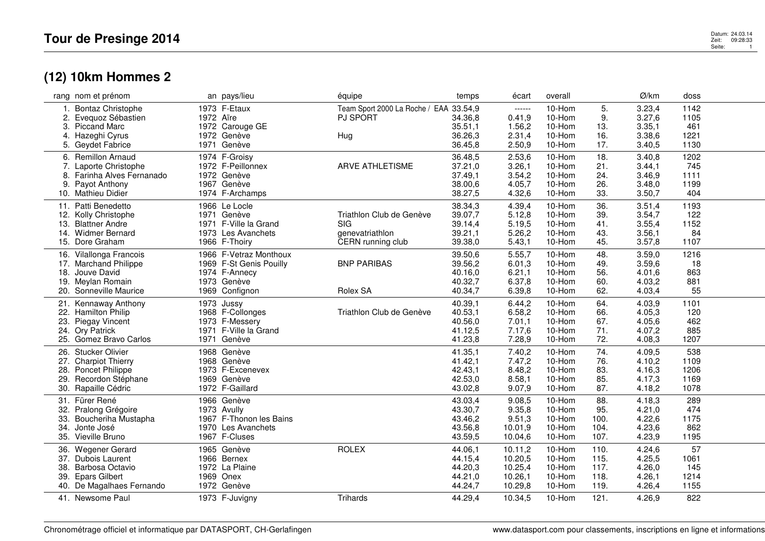## **(12) 10km Hommes 2**

|     | rang nom et prénom                        | an pays/lieu                         | équipe                                 | temps   | écart   | overall |      | Ø/km   | doss |
|-----|-------------------------------------------|--------------------------------------|----------------------------------------|---------|---------|---------|------|--------|------|
|     | <b>Bontaz Christophe</b>                  | 1973 F-Etaux                         | Team Sport 2000 La Roche / EAA 33.54,9 |         | ------  | 10-Hom  | 5.   | 3.23,4 | 1142 |
| 2.  | Evequoz Sébastien                         | 1972 Aïre                            | <b>PJ SPORT</b>                        | 34.36,8 | 0.41,9  | 10-Hom  | 9.   | 3.27,6 | 1105 |
|     | 3. Piccand Marc                           | 1972 Carouge GE                      |                                        | 35.51,1 | 1.56,2  | 10-Hom  | 13.  | 3.35,1 | 461  |
|     | 4. Hazeghi Cyrus                          | 1972 Genève                          | Hug                                    | 36.26,3 | 2.31,4  | 10-Hom  | 16.  | 3.38,6 | 1221 |
|     | 5. Geydet Fabrice                         | 1971 Genève                          |                                        | 36.45,8 | 2.50,9  | 10-Hom  | 17.  | 3.40,5 | 1130 |
|     | 6. Remillon Arnaud                        | 1974 F-Groisy                        |                                        | 36.48,5 | 2.53,6  | 10-Hom  | 18.  | 3.40,8 | 1202 |
|     | 7. Laporte Christophe                     | 1972 F-Peillonnex                    | <b>ARVE ATHLETISME</b>                 | 37.21,0 | 3.26,1  | 10-Hom  | 21.  | 3.44,1 | 745  |
|     | 8. Farinha Alves Fernanado                | 1972 Genève                          |                                        | 37.49,1 | 3.54,2  | 10-Hom  | 24.  | 3.46,9 | 1111 |
| 9.  | Payot Anthony                             | 1967 Genève                          |                                        | 38.00,6 | 4.05,7  | 10-Hom  | 26.  | 3.48,0 | 1199 |
|     | 10. Mathieu Didier                        | 1974 F-Archamps                      |                                        | 38.27,5 | 4.32,6  | 10-Hom  | 33.  | 3.50,7 | 404  |
|     |                                           |                                      |                                        |         |         |         |      |        |      |
| 11. | Patti Benedetto                           | 1966 Le Locle                        |                                        | 38.34,3 | 4.39,4  | 10-Hom  | 36.  | 3.51,4 | 1193 |
|     | 12. Kolly Christophe                      | 1971 Genève                          | Triathlon Club de Genève               | 39.07,7 | 5.12,8  | 10-Hom  | 39.  | 3.54,7 | 122  |
| 13. | <b>Blattner Andre</b>                     | 1971 F-Ville la Grand                | <b>SIG</b>                             | 39.14,4 | 5.19,5  | 10-Hom  | 41.  | 3.55,4 | 1152 |
|     | 14. Widmer Bernard                        | 1973 Les Avanchets                   | genevatriathlon                        | 39.21,1 | 5.26,2  | 10-Hom  | 43.  | 3.56,1 | 84   |
|     | 15. Dore Graham                           | 1966 F-Thoiry                        | CERN running club                      | 39.38,0 | 5.43,1  | 10-Hom  | 45.  | 3.57,8 | 1107 |
|     | 16. Vilallonga Francois                   | 1966 F-Vetraz Monthoux               |                                        | 39.50,6 | 5.55,7  | 10-Hom  | 48.  | 3.59,0 | 1216 |
|     | 17. Marchand Philippe                     | 1969 F-St Genis Pouilly              | <b>BNP PARIBAS</b>                     | 39.56,2 | 6.01,3  | 10-Hom  | 49.  | 3.59,6 | 18   |
|     | 18. Jouve David                           | 1974 F-Annecy                        |                                        | 40.16,0 | 6.21,1  | 10-Hom  | 56.  | 4.01,6 | 863  |
|     | 19. Meylan Romain                         | 1973 Genève                          |                                        | 40.32,7 | 6.37,8  | 10-Hom  | 60.  | 4.03,2 | 881  |
|     | 20. Sonneville Maurice                    | 1969 Confignon                       | Rolex SA                               | 40.34,7 | 6.39,8  | 10-Hom  | 62.  | 4.03,4 | 55   |
|     | 21. Kennaway Anthony                      | 1973 Jussy                           |                                        | 40.39,1 | 6.44,2  | 10-Hom  | 64.  | 4.03,9 | 1101 |
|     | 22. Hamilton Philip                       | 1968 F-Collonges                     | Triathlon Club de Genève               | 40.53,1 | 6.58,2  | 10-Hom  | 66.  | 4.05,3 | 120  |
|     | 23. Piegay Vincent                        | 1973 F-Messery                       |                                        | 40.56,0 | 7.01,1  | 10-Hom  | 67.  | 4.05,6 | 462  |
|     |                                           |                                      |                                        | 41.12,5 | 7.17,6  | 10-Hom  | 71.  | 4.07,2 | 885  |
|     | 24. Ory Patrick<br>25. Gomez Bravo Carlos | 1971 F-Ville la Grand<br>1971 Genève |                                        | 41.23,8 | 7.28,9  | 10-Hom  | 72.  | 4.08,3 | 1207 |
|     |                                           |                                      |                                        |         |         |         |      |        |      |
|     | 26. Stucker Olivier                       | 1968 Genève                          |                                        | 41.35,1 | 7.40,2  | 10-Hom  | 74.  | 4.09,5 | 538  |
|     | 27. Charpiot Thierry                      | 1968 Genève                          |                                        | 41.42,1 | 7.47,2  | 10-Hom  | 76.  | 4.10,2 | 1109 |
|     | 28. Poncet Philippe                       | 1973 F-Excenevex                     |                                        | 42.43,1 | 8.48,2  | 10-Hom  | 83.  | 4.16,3 | 1206 |
| 29. | Recordon Stéphane                         | 1969 Genève                          |                                        | 42.53,0 | 8.58,1  | 10-Hom  | 85.  | 4.17,3 | 1169 |
|     | 30. Rapaille Cédric                       | 1972 F-Gaillard                      |                                        | 43.02,8 | 9.07,9  | 10-Hom  | 87.  | 4.18,2 | 1078 |
|     | 31. Fürer René                            | 1966 Genève                          |                                        | 43.03,4 | 9.08,5  | 10-Hom  | 88.  | 4.18,3 | 289  |
|     | 32. Pralong Grégoire                      | 1973 Avully                          |                                        | 43.30,7 | 9.35,8  | 10-Hom  | 95.  | 4.21,0 | 474  |
| 33. | Boucheriha Mustapha                       | 1967 F-Thonon les Bains              |                                        | 43.46,2 | 9.51,3  | 10-Hom  | 100. | 4.22,6 | 1175 |
| 34. | Jonte José                                | 1970 Les Avanchets                   |                                        | 43.56,8 | 10.01,9 | 10-Hom  | 104. | 4.23,6 | 862  |
|     | 35. Vieville Bruno                        | 1967 F-Cluses                        |                                        | 43.59,5 | 10.04,6 | 10-Hom  | 107. | 4.23,9 | 1195 |
|     | 36. Wegener Gerard                        | 1965 Genève                          | <b>ROLEX</b>                           | 44.06,1 | 10.11,2 | 10-Hom  | 110. | 4.24,6 | 57   |
|     | 37. Dubois Laurent                        | 1966 Bernex                          |                                        | 44.15,4 | 10.20,5 | 10-Hom  | 115. | 4.25,5 | 1061 |
|     | 38. Barbosa Octavio                       | 1972 La Plaine                       |                                        | 44.20,3 | 10.25,4 | 10-Hom  | 117. | 4.26,0 | 145  |
|     | 39. Epars Gilbert                         | 1969 Onex                            |                                        |         | 10.26,1 | 10-Hom  | 118. | 4.26,1 | 1214 |
|     |                                           | 1972 Genève                          |                                        | 44.21,0 |         | 10-Hom  | 119. |        |      |
|     | 40. De Magalhaes Fernando                 |                                      |                                        | 44.24,7 | 10.29,8 |         |      | 4.26,4 | 1155 |
|     | 41. Newsome Paul                          | 1973 F-Juvigny                       | Trihards                               | 44.29,4 | 10.34,5 | 10-Hom  | 121. | 4.26,9 | 822  |
|     |                                           |                                      |                                        |         |         |         |      |        |      |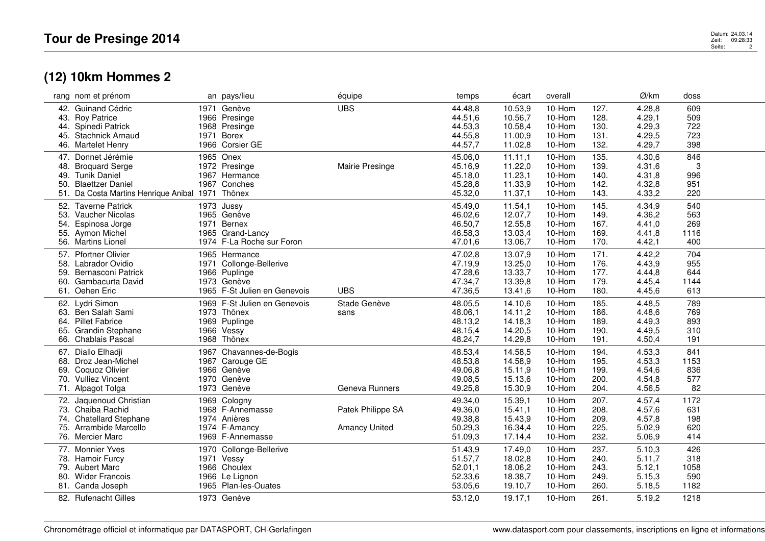## **(12) 10km Hommes 2**

|     | rang nom et prénom                               |      | an pays/lieu                 | équipe               | temps   | écart   | overall |      | Ø/km   | doss |  |
|-----|--------------------------------------------------|------|------------------------------|----------------------|---------|---------|---------|------|--------|------|--|
|     | 42. Guinand Cédric                               |      | 1971 Genève                  | <b>UBS</b>           | 44.48,8 | 10.53,9 | 10-Hom  | 127. | 4.28,8 | 609  |  |
|     | 43. Roy Patrice                                  |      | 1966 Presinge                |                      | 44.51,6 | 10.56,7 | 10-Hom  | 128. | 4.29,1 | 509  |  |
|     | 44. Spinedi Patrick                              |      | 1968 Presinge                |                      | 44.53,3 | 10.58,4 | 10-Hom  | 130. | 4.29,3 | 722  |  |
| 45. | <b>Stachnick Arnaud</b>                          | 1971 | <b>Borex</b>                 |                      | 44.55,8 | 11.00,9 | 10-Hom  | 131. | 4.29,5 | 723  |  |
|     | 46. Martelet Henry                               |      | 1966 Corsier GE              |                      | 44.57,7 | 11.02,8 | 10-Hom  | 132. | 4.29,7 | 398  |  |
|     | 47. Donnet Jérémie                               |      | 1965 Onex                    |                      | 45.06,0 | 11.11.1 | 10-Hom  | 135. | 4.30,6 | 846  |  |
| 48. | <b>Broquard Serge</b>                            |      | 1972 Presinge                | Mairie Presinge      | 45.16,9 | 11.22,0 | 10-Hom  | 139. | 4.31,6 | 3    |  |
| 49. | <b>Tunik Daniel</b>                              |      | 1967 Hermance                |                      | 45.18,0 | 11.23,1 | 10-Hom  | 140. | 4.31,8 | 996  |  |
| 50. | <b>Blaettzer Daniel</b>                          |      | 1967 Conches                 |                      | 45.28,8 | 11.33,9 | 10-Hom  | 142. | 4.32,8 | 951  |  |
|     | 51. Da Costa Martins Henrique Anibal 1971 Thônex |      |                              |                      | 45.32,0 | 11.37,1 | 10-Hom  | 143. | 4.33,2 | 220  |  |
|     |                                                  |      |                              |                      |         |         |         |      |        |      |  |
|     | 52. Taverne Patrick                              |      | 1973 Jussy                   |                      | 45.49,0 | 11.54,1 | 10-Hom  | 145. | 4.34,9 | 540  |  |
| 53. | Vaucher Nicolas                                  |      | 1965 Genève                  |                      | 46.02,6 | 12.07,7 | 10-Hom  | 149. | 4.36,2 | 563  |  |
| 54. | Espinosa Jorge                                   |      | 1971 Bernex                  |                      | 46.50,7 | 12.55,8 | 10-Hom  | 167. | 4.41,0 | 269  |  |
|     | 55. Aymon Michel                                 |      | 1965 Grand-Lancy             |                      | 46.58,3 | 13.03,4 | 10-Hom  | 169. | 4.41,8 | 1116 |  |
|     | 56. Martins Lionel                               |      | 1974 F-La Roche sur Foron    |                      | 47.01,6 | 13.06,7 | 10-Hom  | 170. | 4.42,1 | 400  |  |
|     | 57. Pfortner Olivier                             |      | 1965 Hermance                |                      | 47.02,8 | 13.07,9 | 10-Hom  | 171. | 4.42,2 | 704  |  |
| 58. | Labrador Ovidio                                  |      | 1971 Collonge-Bellerive      |                      | 47.19,9 | 13.25,0 | 10-Hom  | 176. | 4.43,9 | 955  |  |
|     | 59. Bernasconi Patrick                           |      | 1966 Puplinge                |                      | 47.28,6 | 13.33,7 | 10-Hom  | 177. | 4.44,8 | 644  |  |
| 60. | Gambacurta David                                 |      | 1973 Genève                  |                      | 47.34,7 | 13.39,8 | 10-Hom  | 179. | 4.45,4 | 1144 |  |
|     | 61. Oehen Eric                                   |      | 1965 F-St Julien en Genevois | <b>UBS</b>           | 47.36,5 | 13.41,6 | 10-Hom  | 180. | 4.45,6 | 613  |  |
|     | 62. Lydri Simon                                  |      | 1969 F-St Julien en Genevois | Stade Genève         | 48.05,5 | 14.10,6 | 10-Hom  | 185. | 4.48,5 | 789  |  |
|     | 63. Ben Salah Sami                               |      | 1973 Thônex                  | sans                 | 48.06,1 | 14.11,2 | 10-Hom  | 186. | 4.48,6 | 769  |  |
|     | 64. Pillet Fabrice                               |      | 1969 Puplinge                |                      | 48.13,2 | 14.18,3 | 10-Hom  | 189. | 4.49,3 | 893  |  |
| 65. | <b>Grandin Stephane</b>                          |      | 1966 Vessy                   |                      | 48.15,4 | 14.20,5 | 10-Hom  | 190. | 4.49,5 | 310  |  |
|     | 66. Chablais Pascal                              |      | 1968 Thônex                  |                      | 48.24,7 | 14.29,8 | 10-Hom  | 191. | 4.50,4 | 191  |  |
|     |                                                  |      |                              |                      |         |         |         |      |        |      |  |
|     | 67. Diallo Elhadji                               | 1967 | Chavannes-de-Bogis           |                      | 48.53,4 | 14.58,5 | 10-Hom  | 194. | 4.53,3 | 841  |  |
|     | 68. Droz Jean-Michel                             |      | 1967 Carouge GE              |                      | 48.53,8 | 14.58,9 | 10-Hom  | 195. | 4.53,3 | 1153 |  |
|     | 69. Coquoz Olivier                               |      | 1966 Genève                  |                      | 49.06,8 | 15.11,9 | 10-Hom  | 199. | 4.54,6 | 836  |  |
|     | 70. Vulliez Vincent                              |      | 1970 Genève                  |                      | 49.08,5 | 15.13,6 | 10-Hom  | 200. | 4.54,8 | 577  |  |
|     | 71. Alpagot Tolga                                |      | 1973 Genève                  | Geneva Runners       | 49.25,8 | 15.30,9 | 10-Hom  | 204. | 4.56,5 | 82   |  |
|     | 72. Jaquenoud Christian                          |      | 1969 Cologny                 |                      | 49.34,0 | 15.39,1 | 10-Hom  | 207. | 4.57,4 | 1172 |  |
|     | 73. Chaiba Rachid                                |      | 1968 F-Annemasse             | Patek Philippe SA    | 49.36,0 | 15.41,1 | 10-Hom  | 208. | 4.57,6 | 631  |  |
|     | 74. Chatellard Stephane                          |      | 1974 Anières                 |                      | 49.38,8 | 15.43,9 | 10-Hom  | 209. | 4.57,8 | 198  |  |
|     | 75. Arrambide Marcello                           |      | 1974 F-Amancy                | <b>Amancy United</b> | 50.29,3 | 16.34,4 | 10-Hom  | 225. | 5.02,9 | 620  |  |
|     | 76. Mercier Marc                                 |      | 1969 F-Annemasse             |                      | 51.09,3 | 17.14,4 | 10-Hom  | 232. | 5.06,9 | 414  |  |
|     | 77. Monnier Yves                                 |      | 1970 Collonge-Bellerive      |                      | 51.43,9 | 17.49,0 | 10-Hom  | 237. | 5.10,3 | 426  |  |
|     | 78. Hamoir Furcy                                 |      | 1971 Vessy                   |                      | 51.57,7 | 18.02,8 | 10-Hom  | 240. | 5.11,7 | 318  |  |
|     | 79. Aubert Marc                                  |      | 1966 Choulex                 |                      | 52.01,1 | 18.06,2 | 10-Hom  | 243. | 5.12,1 | 1058 |  |
|     | 80. Wider Francois                               |      | 1966 Le Lignon               |                      | 52.33,6 |         | 10-Hom  | 249. | 5.15,3 | 590  |  |
|     |                                                  |      | 1965 Plan-les-Ouates         |                      | 53.05,6 | 18.38,7 |         | 260. |        | 1182 |  |
|     | 81. Canda Joseph                                 |      |                              |                      |         | 19.10,7 | 10-Hom  |      | 5.18,5 |      |  |
|     | 82. Rufenacht Gilles                             |      | 1973 Genève                  |                      | 53.12,0 | 19.17,1 | 10-Hom  | 261. | 5.19,2 | 1218 |  |
|     |                                                  |      |                              |                      |         |         |         |      |        |      |  |